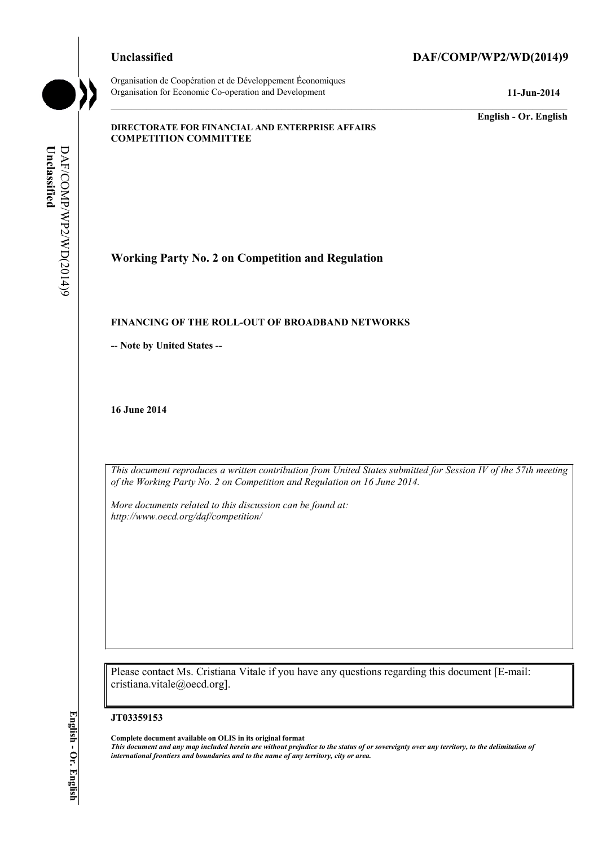Organisation de Coopération et de Développement Économiques Organisation for Economic Co-operation and Development **11-Jun-2014** 

## **Unclassified DAF/COMP/WP2/WD(2014)9**

**English - Or. English** 

#### **DIRECTORATE FOR FINANCIAL AND ENTERPRISE AFFAIRS COMPETITION COMMITTEE**

Unclassified **Unclassified**  DAF/COMP/WP2/WD(2014)9 DAF/COMP/WP2/WD(2014)9

# **Working Party No. 2 on Competition and Regulation**

### **FINANCING OF THE ROLL-OUT OF BROADBAND NETWORKS**

**-- Note by United States --**

**16 June 2014** 

 *of the Working Party No. 2 on Competition and Regulation on 16 June 2014. This document reproduces a written contribution from United States submitted for Session IV of the 57th meeting* 

 *http://www.oecd.org/daf/competition/ More documents related to this discussion can be found at:* 

Please contact Ms. Cristiana Vitale if you have any questions regarding this document [E-mail: cristiana.vitale@oecd.org].

#### **JT03359153**

 **Complete document available on OLIS in its original format**   *This document and any map included herein are without prejudice to the status of or sovereignty over any territory, to the delimitation of international frontiers and boundaries and to the name of any territory, city or area.*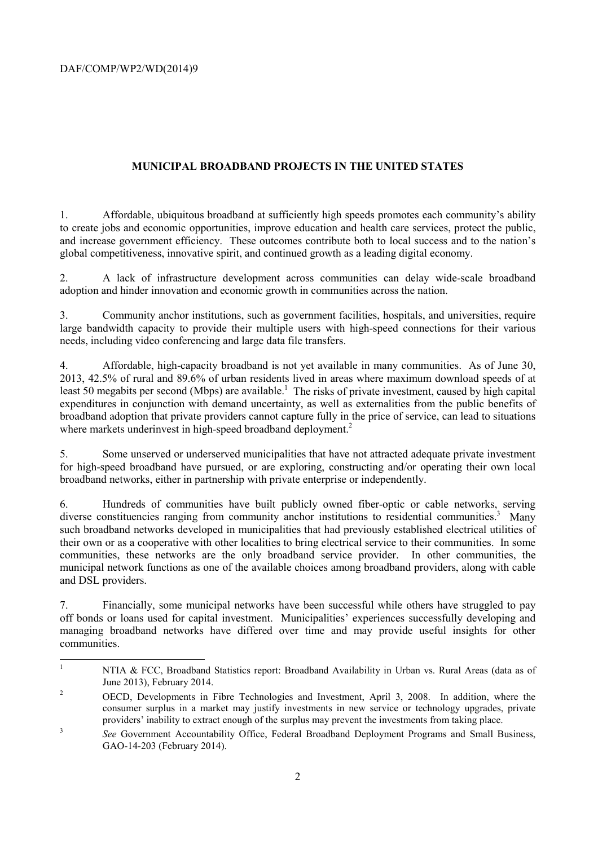DAF/COMP/WP2/WD(2014)9

## **MUNICIPAL BROADBAND PROJECTS IN THE UNITED STATES**

1. Affordable, ubiquitous broadband at sufficiently high speeds promotes each community's ability to create jobs and economic opportunities, improve education and health care services, protect the public, and increase government efficiency. These outcomes contribute both to local success and to the nation's global competitiveness, innovative spirit, and continued growth as a leading digital economy.

2. A lack of infrastructure development across communities can delay wide-scale broadband adoption and hinder innovation and economic growth in communities across the nation.

3. Community anchor institutions, such as government facilities, hospitals, and universities, require large bandwidth capacity to provide their multiple users with high-speed connections for their various needs, including video conferencing and large data file transfers.

 2013, 42.5% of rural and 89.6% of urban residents lived in areas where maximum download speeds of at 4. Affordable, high-capacity broadband is not yet available in many communities. As of June 30, least 50 megabits per second (Mbps) are available.<sup>1</sup> The risks of private investment, caused by high capital expenditures in conjunction with demand uncertainty, as well as externalities from the public benefits of broadband adoption that private providers cannot capture fully in the price of service, can lead to situations where markets underinvest in high-speed broadband deployment.<sup>2</sup>

5. Some unserved or underserved municipalities that have not attracted adequate private investment for high-speed broadband have pursued, or are exploring, constructing and/or operating their own local broadband networks, either in partnership with private enterprise or independently.

diverse constituencies ranging from community anchor institutions to residential communities.<sup>3</sup> Many 6. Hundreds of communities have built publicly owned fiber-optic or cable networks, serving such broadband networks developed in municipalities that had previously established electrical utilities of their own or as a cooperative with other localities to bring electrical service to their communities. In some communities, these networks are the only broadband service provider. In other communities, the municipal network functions as one of the available choices among broadband providers, along with cable and DSL providers.

7. Financially, some municipal networks have been successful while others have struggled to pay off bonds or loans used for capital investment. Municipalities' experiences successfully developing and managing broadband networks have differed over time and may provide useful insights for other communities.

 $\overline{1}$ NTIA & FCC, Broadband Statistics report: Broadband Availability in Urban vs. Rural Areas (data as of June 2013), February 2014.<br>OECD, Developments in Fibre Technologies and Investment, April 3, 2008. In addition, where the

 $\overline{2}$ consumer surplus in a market may justify investments in new service or technology upgrades, private providers' inability to extract enough of the surplus may prevent the investments from taking place.

<sup>&</sup>lt;sup>3</sup> See Government Accountability Office, Federal Broadband Deployment Programs and Small Business, GAO-14-203 (February 2014).